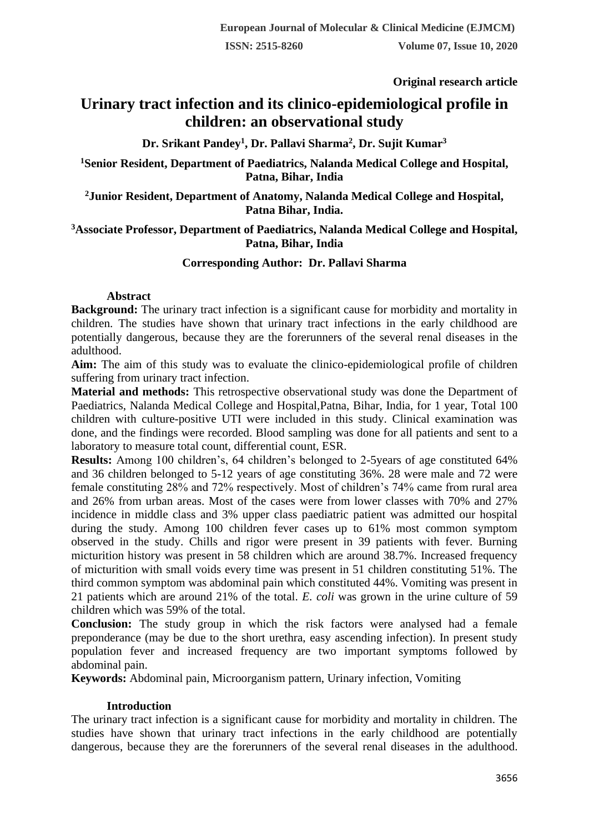**Original research article** 

# **Urinary tract infection and its clinico-epidemiological profile in children: an observational study**

**Dr. Srikant Pandey<sup>1</sup> , Dr. Pallavi Sharma<sup>2</sup> , Dr. Sujit Kumar<sup>3</sup>**

**<sup>1</sup>Senior Resident, Department of Paediatrics, Nalanda Medical College and Hospital, Patna, Bihar, India**

**<sup>2</sup>Junior Resident, Department of Anatomy, Nalanda Medical College and Hospital, Patna Bihar, India.**

# **<sup>3</sup>Associate Professor, Department of Paediatrics, Nalanda Medical College and Hospital, Patna, Bihar, India**

# **Corresponding Author: Dr. Pallavi Sharma**

## **Abstract**

**Background:** The urinary tract infection is a significant cause for morbidity and mortality in children. The studies have shown that urinary tract infections in the early childhood are potentially dangerous, because they are the forerunners of the several renal diseases in the adulthood.

**Aim:** The aim of this study was to evaluate the clinico-epidemiological profile of children suffering from urinary tract infection.

**Material and methods:** This retrospective observational study was done the Department of Paediatrics, Nalanda Medical College and Hospital,Patna, Bihar, India, for 1 year, Total 100 children with culture-positive UTI were included in this study. Clinical examination was done, and the findings were recorded. Blood sampling was done for all patients and sent to a laboratory to measure total count, differential count, ESR.

**Results:** Among 100 children's, 64 children's belonged to 2-5years of age constituted 64% and 36 children belonged to 5-12 years of age constituting 36%. 28 were male and 72 were female constituting 28% and 72% respectively. Most of children's 74% came from rural area and 26% from urban areas. Most of the cases were from lower classes with 70% and 27% incidence in middle class and 3% upper class paediatric patient was admitted our hospital during the study. Among 100 children fever cases up to 61% most common symptom observed in the study. Chills and rigor were present in 39 patients with fever. Burning micturition history was present in 58 children which are around 38.7%. Increased frequency of micturition with small voids every time was present in 51 children constituting 51%. The third common symptom was abdominal pain which constituted 44%. Vomiting was present in 21 patients which are around 21% of the total. *E. coli* was grown in the urine culture of 59 children which was 59% of the total.

**Conclusion:** The study group in which the risk factors were analysed had a female preponderance (may be due to the short urethra, easy ascending infection). In present study population fever and increased frequency are two important symptoms followed by abdominal pain.

**Keywords:** Abdominal pain, Microorganism pattern, Urinary infection, Vomiting

## **Introduction**

The urinary tract infection is a significant cause for morbidity and mortality in children. The studies have shown that urinary tract infections in the early childhood are potentially dangerous, because they are the forerunners of the several renal diseases in the adulthood.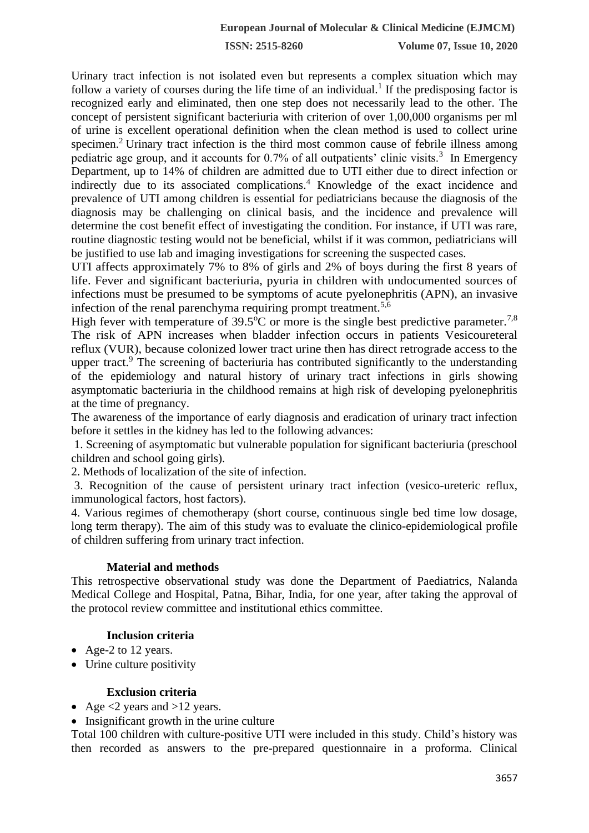Urinary tract infection is not isolated even but represents a complex situation which may follow a variety of courses during the life time of an individual.<sup>1</sup> If the predisposing factor is recognized early and eliminated, then one step does not necessarily lead to the other. The concept of persistent significant bacteriuria with criterion of over 1,00,000 organisms per ml of urine is excellent operational definition when the clean method is used to collect urine specimen.<sup>2</sup> Urinary tract infection is the third most common cause of febrile illness among pediatric age group, and it accounts for 0.7% of all outpatients' clinic visits.<sup>3</sup> In Emergency Department, up to 14% of children are admitted due to UTI either due to direct infection or indirectly due to its associated complications.<sup>4</sup> Knowledge of the exact incidence and prevalence of UTI among children is essential for pediatricians because the diagnosis of the diagnosis may be challenging on clinical basis, and the incidence and prevalence will determine the cost benefit effect of investigating the condition. For instance, if UTI was rare, routine diagnostic testing would not be beneficial, whilst if it was common, pediatricians will be justified to use lab and imaging investigations for screening the suspected cases.

UTI affects approximately 7% to 8% of girls and 2% of boys during the first 8 years of life. Fever and significant bacteriuria, pyuria in children with undocumented sources of infections must be presumed to be symptoms of acute pyelonephritis (APN), an invasive infection of the renal parenchyma requiring prompt treatment.<sup>5,6</sup>

High fever with temperature of  $39.5^{\circ}$ C or more is the single best predictive parameter.<sup>7,8</sup> The risk of APN increases when bladder infection occurs in patients Vesicoureteral reflux (VUR), because colonized lower tract urine then has direct retrograde access to the upper tract.<sup>9</sup> The screening of bacteriuria has contributed significantly to the understanding of the epidemiology and natural history of urinary tract infections in girls showing asymptomatic bacteriuria in the childhood remains at high risk of developing pyelonephritis at the time of pregnancy.

The awareness of the importance of early diagnosis and eradication of urinary tract infection before it settles in the kidney has led to the following advances:

1. Screening of asymptomatic but vulnerable population for significant bacteriuria (preschool children and school going girls).

2. Methods of localization of the site of infection.

3. Recognition of the cause of persistent urinary tract infection (vesico-ureteric reflux, immunological factors, host factors).

4. Various regimes of chemotherapy (short course, continuous single bed time low dosage, long term therapy). The aim of this study was to evaluate the clinico-epidemiological profile of children suffering from urinary tract infection.

# **Material and methods**

This retrospective observational study was done the Department of Paediatrics, Nalanda Medical College and Hospital, Patna, Bihar, India, for one year, after taking the approval of the protocol review committee and institutional ethics committee.

# **Inclusion criteria**

- Age-2 to 12 years.
- Urine culture positivity

## **Exclusion criteria**

- Age  $\lt 2$  years and  $>12$  years.
- Insignificant growth in the urine culture

Total 100 children with culture-positive UTI were included in this study. Child's history was then recorded as answers to the pre-prepared questionnaire in a proforma. Clinical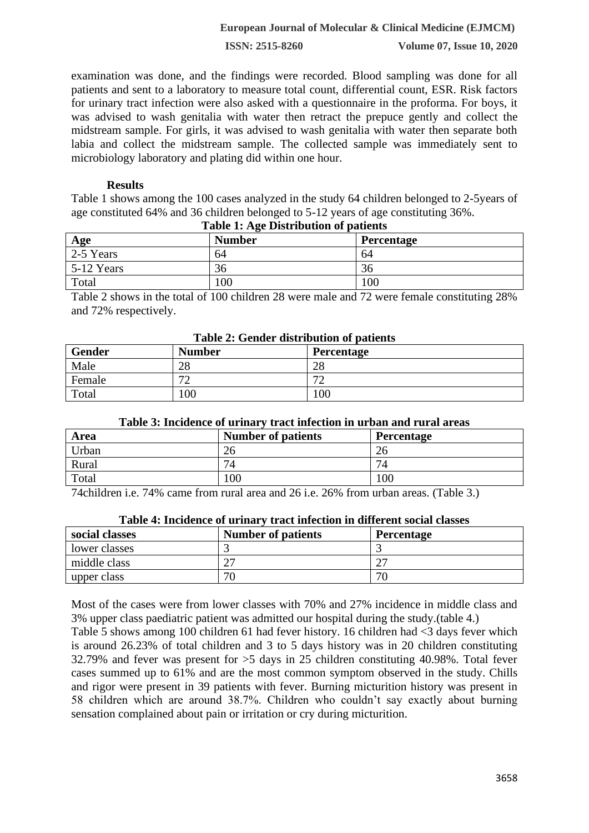## **European Journal of Molecular & Clinical Medicine (EJMCM)**

**ISSN: 2515-8260 Volume 07, Issue 10, 2020**

examination was done, and the findings were recorded. Blood sampling was done for all patients and sent to a laboratory to measure total count, differential count, ESR. Risk factors for urinary tract infection were also asked with a questionnaire in the proforma. For boys, it was advised to wash genitalia with water then retract the prepuce gently and collect the midstream sample. For girls, it was advised to wash genitalia with water then separate both labia and collect the midstream sample. The collected sample was immediately sent to microbiology laboratory and plating did within one hour.

#### **Results**

Table 1 shows among the 100 cases analyzed in the study 64 children belonged to 2-5years of age constituted 64% and 36 children belonged to 5-12 years of age constituting 36%.

| Age          | <b>Number</b> | Percentage |
|--------------|---------------|------------|
| 2-5 Years    | 64            | 64         |
| $5-12$ Years | 36            | 36         |
| Total        | 100           | 100        |

#### **Table 1: Age Distribution of patients**

Table 2 shows in the total of 100 children 28 were male and 72 were female constituting 28% and 72% respectively.

| Table 2: Gender distribution of patients |               |                   |  |
|------------------------------------------|---------------|-------------------|--|
| Gender                                   | <b>Number</b> | <b>Percentage</b> |  |
| Male                                     | 28            | 28                |  |
| Female                                   | 70            | רי                |  |
| Total                                    | 100           | 100               |  |

# **Table 2: Gender distribution of patients**

#### **Table 3: Incidence of urinary tract infection in urban and rural areas**

| Area  | <b>Number of patients</b> | Percentage |
|-------|---------------------------|------------|
| Urban | 26                        | ΖO         |
| Rural | $7\Lambda$                | ⇁          |
| Total | 100                       | 100        |

74children i.e. 74% came from rural area and 26 i.e. 26% from urban areas. (Table 3.)

middle class 27 27 upper class  $\boxed{70}$   $\boxed{70}$ 

| Table 4: Incidence of urinary tract infection in different social classes |                           |                   |
|---------------------------------------------------------------------------|---------------------------|-------------------|
| social classes                                                            | <b>Number of patients</b> | <b>Percentage</b> |
| lower classes                                                             |                           |                   |

# **Table 4: Incidence of urinary tract infection in different social classes**

Most of the cases were from lower classes with 70% and 27% incidence in middle class and 3% upper class paediatric patient was admitted our hospital during the study.(table 4.)

Table 5 shows among 100 children 61 had fever history. 16 children had <3 days fever which is around 26.23% of total children and 3 to 5 days history was in 20 children constituting 32.79% and fever was present for >5 days in 25 children constituting 40.98%. Total fever cases summed up to 61% and are the most common symptom observed in the study. Chills and rigor were present in 39 patients with fever. Burning micturition history was present in 58 children which are around 38.7%. Children who couldn't say exactly about burning sensation complained about pain or irritation or cry during micturition.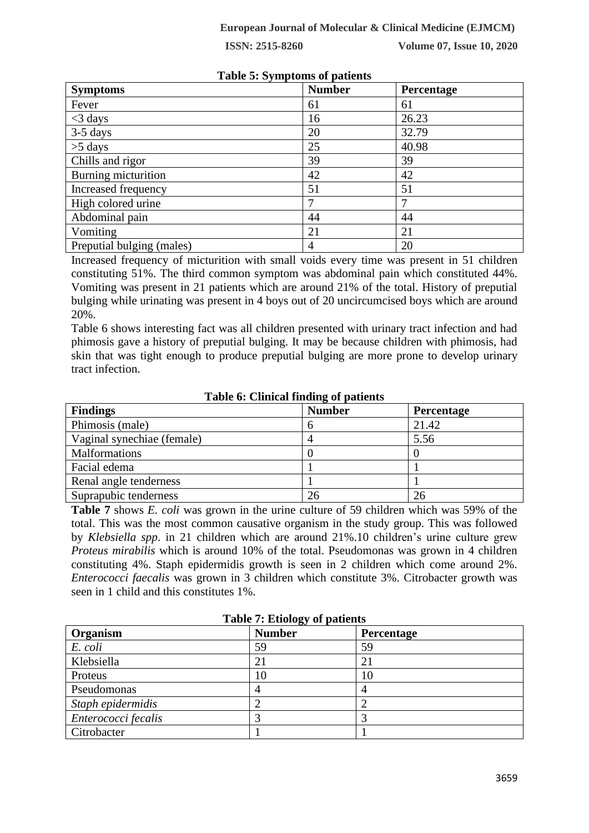| $\frac{1}{2}$ and $\frac{1}{2}$ . By mp computed by particles |               |            |  |
|---------------------------------------------------------------|---------------|------------|--|
| <b>Symptoms</b>                                               | <b>Number</b> | Percentage |  |
| Fever                                                         | 61            | 61         |  |
| $<$ 3 days                                                    | 16            | 26.23      |  |
| $3-5$ days                                                    | 20            | 32.79      |  |
| $>5$ days                                                     | 25            | 40.98      |  |
| Chills and rigor                                              | 39            | 39         |  |
| Burning micturition                                           | 42            | 42         |  |
| Increased frequency                                           | 51            | 51         |  |
| High colored urine                                            |               |            |  |
| Abdominal pain                                                | 44            | 44         |  |
| Vomiting                                                      | 21            | 21         |  |
| Preputial bulging (males)                                     | 4             | 20         |  |

# **Table 5: Symptoms of patients**

Increased frequency of micturition with small voids every time was present in 51 children constituting 51%. The third common symptom was abdominal pain which constituted 44%. Vomiting was present in 21 patients which are around 21% of the total. History of preputial bulging while urinating was present in 4 boys out of 20 uncircumcised boys which are around 20%.

Table 6 shows interesting fact was all children presented with urinary tract infection and had phimosis gave a history of preputial bulging. It may be because children with phimosis, had skin that was tight enough to produce preputial bulging are more prone to develop urinary tract infection.

#### **Table 6: Clinical finding of patients**

| <b>Findings</b>            | <b>Number</b> | <b>Percentage</b> |
|----------------------------|---------------|-------------------|
| Phimosis (male)            |               | 21.42             |
| Vaginal synechiae (female) |               | 5.56              |
| <b>Malformations</b>       |               |                   |
| Facial edema               |               |                   |
| Renal angle tenderness     |               |                   |
| Suprapubic tenderness      | 26            | 26                |

**Table 7** shows *E. coli* was grown in the urine culture of 59 children which was 59% of the total. This was the most common causative organism in the study group. This was followed by *Klebsiella spp*. in 21 children which are around 21%.10 children's urine culture grew *Proteus mirabilis* which is around 10% of the total. Pseudomonas was grown in 4 children constituting 4%. Staph epidermidis growth is seen in 2 children which come around 2%. *Enterococci faecalis* was grown in 3 children which constitute 3%. Citrobacter growth was seen in 1 child and this constitutes 1%.

| Table <i>1</i> , Euvily y ul patients |               |                |  |
|---------------------------------------|---------------|----------------|--|
| Organism                              | <b>Number</b> | Percentage     |  |
| E. coli                               | 59            | 59             |  |
| Klebsiella                            | 21            | $\overline{2}$ |  |
| Proteus                               | 10            | 10             |  |
| Pseudomonas                           |               |                |  |
| Staph epidermidis                     |               |                |  |
| Enterococci fecalis                   |               |                |  |
| Citrobacter                           |               |                |  |

**Table 7: Etiology of patients**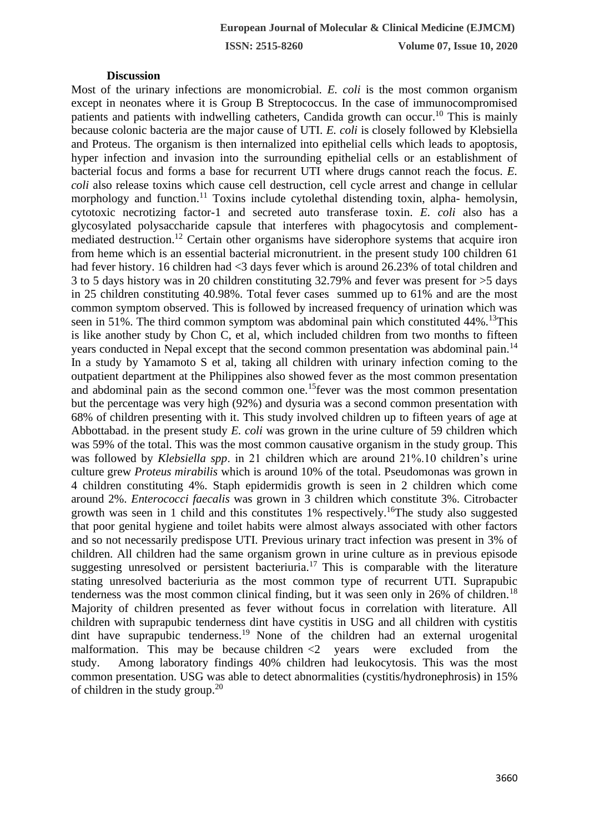#### **Discussion**

Most of the urinary infections are monomicrobial. *E. coli* is the most common organism except in neonates where it is Group B Streptococcus. In the case of immunocompromised patients and patients with indwelling catheters, Candida growth can occur.<sup>10</sup> This is mainly because colonic bacteria are the major cause of UTI. *E. coli* is closely followed by Klebsiella and Proteus. The organism is then internalized into epithelial cells which leads to apoptosis, hyper infection and invasion into the surrounding epithelial cells or an establishment of bacterial focus and forms a base for recurrent UTI where drugs cannot reach the focus. *E. coli* also release toxins which cause cell destruction, cell cycle arrest and change in cellular morphology and function.<sup>11</sup> Toxins include cytolethal distending toxin, alpha- hemolysin, cytotoxic necrotizing factor-1 and secreted auto transferase toxin. *E. coli* also has a glycosylated polysaccharide capsule that interferes with phagocytosis and complementmediated destruction.<sup>12</sup> Certain other organisms have siderophore systems that acquire iron from heme which is an essential bacterial micronutrient. in the present study 100 children 61 had fever history. 16 children had <3 days fever which is around 26.23% of total children and 3 to 5 days history was in 20 children constituting 32.79% and fever was present for >5 days in 25 children constituting 40.98%. Total fever cases summed up to 61% and are the most common symptom observed. This is followed by increased frequency of urination which was seen in 51%. The third common symptom was abdominal pain which constituted  $44\%$ . <sup>13</sup>This is like another study by Chon C, et al, which included children from two months to fifteen years conducted in Nepal except that the second common presentation was abdominal pain.<sup>14</sup> In a study by Yamamoto S et al, taking all children with urinary infection coming to the outpatient department at the Philippines also showed fever as the most common presentation and abdominal pain as the second common one.<sup>15</sup>fever was the most common presentation but the percentage was very high (92%) and dysuria was a second common presentation with 68% of children presenting with it. This study involved children up to fifteen years of age at Abbottabad. in the present study *E. coli* was grown in the urine culture of 59 children which was 59% of the total. This was the most common causative organism in the study group. This was followed by *Klebsiella spp*. in 21 children which are around 21%.10 children's urine culture grew *Proteus mirabilis* which is around 10% of the total. Pseudomonas was grown in 4 children constituting 4%. Staph epidermidis growth is seen in 2 children which come around 2%. *Enterococci faecalis* was grown in 3 children which constitute 3%. Citrobacter growth was seen in 1 child and this constitutes 1% respectively.<sup>16</sup>The study also suggested that poor genital hygiene and toilet habits were almost always associated with other factors and so not necessarily predispose UTI. Previous urinary tract infection was present in 3% of children. All children had the same organism grown in urine culture as in previous episode suggesting unresolved or persistent bacteriuria.<sup>17</sup> This is comparable with the literature stating unresolved bacteriuria as the most common type of recurrent UTI. Suprapubic tenderness was the most common clinical finding, but it was seen only in 26% of children.<sup>18</sup> Majority of children presented as fever without focus in correlation with literature. All children with suprapubic tenderness dint have cystitis in USG and all children with cystitis dint have suprapubic tenderness.<sup>19</sup> None of the children had an external urogenital malformation. This may be because children  $\langle 2 \rangle$  years were excluded from the study. Among laboratory findings 40% children had leukocytosis. This was the most common presentation. USG was able to detect abnormalities (cystitis/hydronephrosis) in 15% of children in the study group. $20$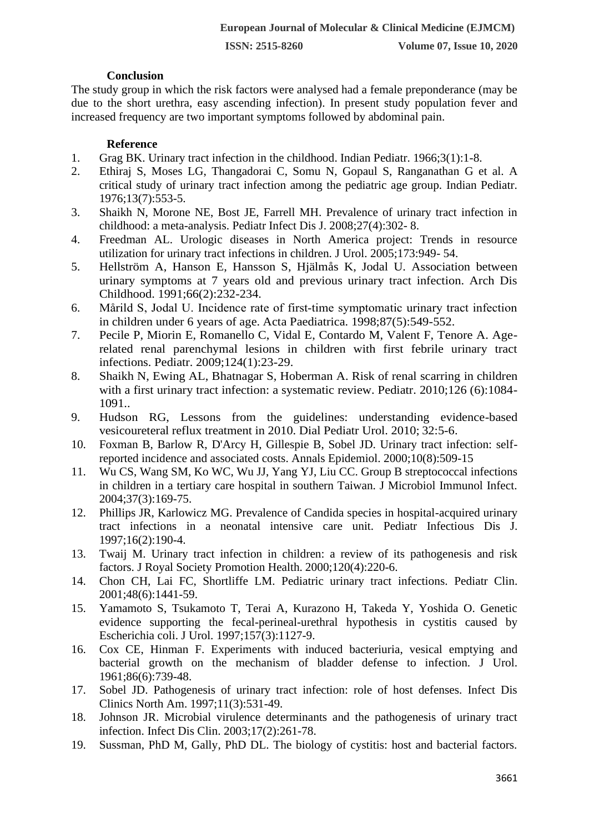## **Conclusion**

The study group in which the risk factors were analysed had a female preponderance (may be due to the short urethra, easy ascending infection). In present study population fever and increased frequency are two important symptoms followed by abdominal pain.

# **Reference**

- 1. Grag BK. Urinary tract infection in the childhood. Indian Pediatr. 1966;3(1):1-8.
- 2. Ethiraj S, Moses LG, Thangadorai C, Somu N, Gopaul S, Ranganathan G et al. A critical study of urinary tract infection among the pediatric age group. Indian Pediatr. 1976;13(7):553-5.
- 3. Shaikh N, Morone NE, Bost JE, Farrell MH. Prevalence of urinary tract infection in childhood: a meta-analysis. Pediatr Infect Dis J. 2008;27(4):302- 8.
- 4. Freedman AL. Urologic diseases in North America project: Trends in resource utilization for urinary tract infections in children. J Urol. 2005;173:949- 54.
- 5. Hellström A, Hanson E, Hansson S, Hjälmås K, Jodal U. Association between urinary symptoms at 7 years old and previous urinary tract infection. Arch Dis Childhood. 1991;66(2):232-234.
- 6. Mårild S, Jodal U. Incidence rate of first‐time symptomatic urinary tract infection in children under 6 years of age. Acta Paediatrica. 1998;87(5):549-552.
- 7. Pecile P, Miorin E, Romanello C, Vidal E, Contardo M, Valent F, Tenore A. Agerelated renal parenchymal lesions in children with first febrile urinary tract infections. Pediatr. 2009;124(1):23-29.
- 8. Shaikh N, Ewing AL, Bhatnagar S, Hoberman A. Risk of renal scarring in children with a first urinary tract infection: a systematic review. Pediatr. 2010;126 (6):1084- 1091..
- 9. Hudson RG, Lessons from the guidelines: understanding evidence-based vesicoureteral reflux treatment in 2010. Dial Pediatr Urol. 2010; 32:5-6.
- 10. Foxman B, Barlow R, D'Arcy H, Gillespie B, Sobel JD. Urinary tract infection: selfreported incidence and associated costs. Annals Epidemiol. 2000;10(8):509-15
- 11. Wu CS, Wang SM, Ko WC, Wu JJ, Yang YJ, Liu CC. Group B streptococcal infections in children in a tertiary care hospital in southern Taiwan. J Microbiol Immunol Infect. 2004;37(3):169-75.
- 12. Phillips JR, Karlowicz MG. Prevalence of Candida species in hospital-acquired urinary tract infections in a neonatal intensive care unit. Pediatr Infectious Dis J. 1997;16(2):190-4.
- 13. Twaij M. Urinary tract infection in children: a review of its pathogenesis and risk factors. J Royal Society Promotion Health. 2000;120(4):220-6.
- 14. Chon CH, Lai FC, Shortliffe LM. Pediatric urinary tract infections. Pediatr Clin. 2001;48(6):1441-59.
- 15. Yamamoto S, Tsukamoto T, Terai A, Kurazono H, Takeda Y, Yoshida O. Genetic evidence supporting the fecal-perineal-urethral hypothesis in cystitis caused by Escherichia coli. J Urol. 1997;157(3):1127-9.
- 16. Cox CE, Hinman F. Experiments with induced bacteriuria, vesical emptying and bacterial growth on the mechanism of bladder defense to infection. J Urol. 1961;86(6):739-48.
- 17. Sobel JD. Pathogenesis of urinary tract infection: role of host defenses. Infect Dis Clinics North Am. 1997;11(3):531-49.
- 18. Johnson JR. Microbial virulence determinants and the pathogenesis of urinary tract infection. Infect Dis Clin. 2003;17(2):261-78.
- 19. Sussman, PhD M, Gally, PhD DL. The biology of cystitis: host and bacterial factors.